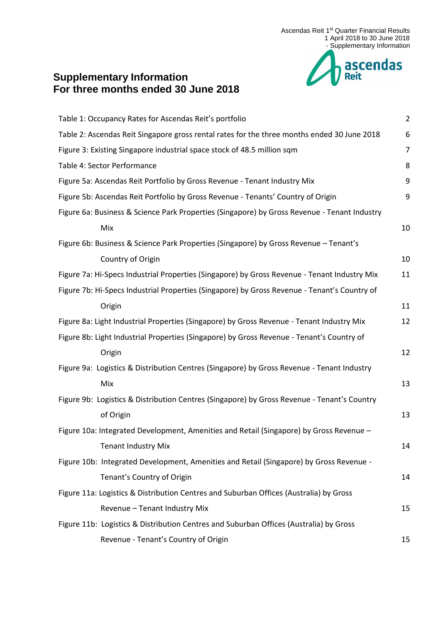

# **Supplementary Information For three months ended 30 June 2018**

| Table 1: Occupancy Rates for Ascendas Reit's portfolio                                       | $\overline{2}$ |
|----------------------------------------------------------------------------------------------|----------------|
|                                                                                              |                |
| Table 2: Ascendas Reit Singapore gross rental rates for the three months ended 30 June 2018  | 6              |
| Figure 3: Existing Singapore industrial space stock of 48.5 million sqm                      | 7              |
| Table 4: Sector Performance                                                                  | 8              |
| Figure 5a: Ascendas Reit Portfolio by Gross Revenue - Tenant Industry Mix                    | 9              |
| Figure 5b: Ascendas Reit Portfolio by Gross Revenue - Tenants' Country of Origin             | 9              |
| Figure 6a: Business & Science Park Properties (Singapore) by Gross Revenue - Tenant Industry |                |
| Mix                                                                                          | 10             |
| Figure 6b: Business & Science Park Properties (Singapore) by Gross Revenue - Tenant's        |                |
| Country of Origin                                                                            | 10             |
| Figure 7a: Hi-Specs Industrial Properties (Singapore) by Gross Revenue - Tenant Industry Mix | 11             |
| Figure 7b: Hi-Specs Industrial Properties (Singapore) by Gross Revenue - Tenant's Country of |                |
| Origin                                                                                       | 11             |
| Figure 8a: Light Industrial Properties (Singapore) by Gross Revenue - Tenant Industry Mix    | 12             |
| Figure 8b: Light Industrial Properties (Singapore) by Gross Revenue - Tenant's Country of    |                |
| Origin                                                                                       | 12             |
| Figure 9a: Logistics & Distribution Centres (Singapore) by Gross Revenue - Tenant Industry   |                |
| Mix                                                                                          | 13             |
| Figure 9b: Logistics & Distribution Centres (Singapore) by Gross Revenue - Tenant's Country  |                |
| of Origin                                                                                    | 13             |
| Figure 10a: Integrated Development, Amenities and Retail (Singapore) by Gross Revenue -      |                |
| <b>Tenant Industry Mix</b>                                                                   | 14             |
| Figure 10b: Integrated Development, Amenities and Retail (Singapore) by Gross Revenue -      |                |
| Tenant's Country of Origin                                                                   | 14             |
| Figure 11a: Logistics & Distribution Centres and Suburban Offices (Australia) by Gross       |                |
| Revenue - Tenant Industry Mix                                                                | 15             |
| Figure 11b: Logistics & Distribution Centres and Suburban Offices (Australia) by Gross       |                |
| Revenue - Tenant's Country of Origin                                                         | 15             |
|                                                                                              |                |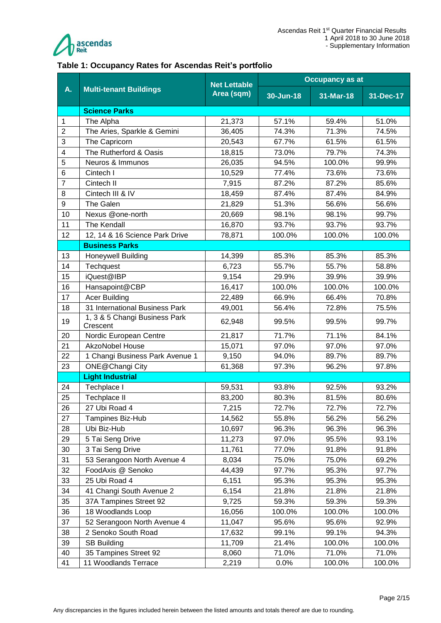

#### <span id="page-1-0"></span>**Table 1: Occupancy Rates for Ascendas Reit's portfolio**

|                | <b>Multi-tenant Buildings</b>             | <b>Net Lettable</b> | <b>Occupancy as at</b> |           |           |  |
|----------------|-------------------------------------------|---------------------|------------------------|-----------|-----------|--|
| A.             |                                           | Area (sqm)          | 30-Jun-18              | 31-Mar-18 | 31-Dec-17 |  |
|                | <b>Science Parks</b>                      |                     |                        |           |           |  |
| $\mathbf{1}$   | The Alpha                                 | 21,373              | 57.1%                  | 59.4%     | 51.0%     |  |
| $\overline{2}$ | The Aries, Sparkle & Gemini               | 36,405              | 74.3%                  | 71.3%     | 74.5%     |  |
| 3              | The Capricorn                             | 20,543              | 67.7%                  | 61.5%     | 61.5%     |  |
| 4              | The Rutherford & Oasis                    | 18,815              | 73.0%                  | 79.7%     | 74.3%     |  |
| 5              | Neuros & Immunos                          | 26,035              | 94.5%                  | 100.0%    | 99.9%     |  |
| 6              | Cintech I                                 | 10,529              | 77.4%                  | 73.6%     | 73.6%     |  |
| $\overline{7}$ | Cintech II                                | 7,915               | 87.2%                  | 87.2%     | 85.6%     |  |
| 8              | Cintech III & IV                          | 18,459              | 87.4%                  | 87.4%     | 84.9%     |  |
| 9              | The Galen                                 | 21,829              | 51.3%                  | 56.6%     | 56.6%     |  |
| 10             | Nexus @one-north                          | 20,669              | 98.1%                  | 98.1%     | 99.7%     |  |
| 11             | The Kendall                               | 16,870              | 93.7%                  | 93.7%     | 93.7%     |  |
| 12             | 12, 14 & 16 Science Park Drive            | 78,871              | 100.0%                 | 100.0%    | 100.0%    |  |
|                | <b>Business Parks</b>                     |                     |                        |           |           |  |
| 13             | <b>Honeywell Building</b>                 | 14,399              | 85.3%                  | 85.3%     | 85.3%     |  |
| 14             | Techquest                                 | 6,723               | 55.7%                  | 55.7%     | 58.8%     |  |
| 15             | iQuest@IBP                                | 9,154               | 29.9%                  | 39.9%     | 39.9%     |  |
| 16             | Hansapoint@CBP                            | 16,417              | 100.0%                 | 100.0%    | 100.0%    |  |
| 17             | <b>Acer Building</b>                      | 22,489              | 66.9%                  | 66.4%     | 70.8%     |  |
| 18             | 31 International Business Park            | 49,001              | 56.4%                  | 72.8%     | 75.5%     |  |
| 19             | 1, 3 & 5 Changi Business Park<br>Crescent | 62,948              | 99.5%                  | 99.5%     | 99.7%     |  |
| 20             | Nordic European Centre                    | 21,817              | 71.7%                  | 71.1%     | 84.1%     |  |
| 21             | <b>AkzoNobel House</b>                    | 15,071              | 97.0%                  | 97.0%     | 97.0%     |  |
| 22             | 1 Changi Business Park Avenue 1           | 9,150               | 94.0%                  | 89.7%     | 89.7%     |  |
| 23             | ONE@Changi City                           | 61,368              | 97.3%                  | 96.2%     | 97.8%     |  |
|                | <b>Light Industrial</b>                   |                     |                        |           |           |  |
| 24             | Techplace I                               | 59,531              | 93.8%                  | 92.5%     | 93.2%     |  |
| 25             | Techplace II                              | 83,200              | 80.3%                  | 81.5%     | 80.6%     |  |
| 26             | 27 Ubi Road 4                             | 7,215               | 72.7%                  | 72.7%     | 72.7%     |  |
| 27             | Tampines Biz-Hub                          | 14,562              | 55.8%                  | 56.2%     | 56.2%     |  |
| 28             | Ubi Biz-Hub                               | 10,697              | 96.3%                  | 96.3%     | 96.3%     |  |
| 29             | 5 Tai Seng Drive                          | 11,273              | 97.0%                  | 95.5%     | 93.1%     |  |
| 30             | 3 Tai Seng Drive                          | 11,761              | 77.0%                  | 91.8%     | 91.8%     |  |
| 31             | 53 Serangoon North Avenue 4               | 8,034               | 75.0%                  | 75.0%     | 69.2%     |  |
| 32             | FoodAxis @ Senoko                         | 44,439              | 97.7%                  | 95.3%     | 97.7%     |  |
| 33             | 25 Ubi Road 4                             | 6,151               | 95.3%                  | 95.3%     | 95.3%     |  |
| 34             | 41 Changi South Avenue 2                  | 6,154               | 21.8%                  | 21.8%     | 21.8%     |  |
| 35             | 37A Tampines Street 92                    | 9,725               | 59.3%                  | 59.3%     | 59.3%     |  |
| 36             | 18 Woodlands Loop                         | 16,056              | 100.0%                 | 100.0%    | 100.0%    |  |
| 37             | 52 Serangoon North Avenue 4               | 11,047              | 95.6%                  | 95.6%     | 92.9%     |  |
| 38             | 2 Senoko South Road                       | 17,632              | 99.1%                  | 99.1%     | 94.3%     |  |
| 39             | <b>SB Building</b>                        | 11,709              | 21.4%                  | 100.0%    | 100.0%    |  |
| 40             | 35 Tampines Street 92                     | 8,060               | 71.0%                  | 71.0%     | 71.0%     |  |
| 41             | 11 Woodlands Terrace                      | 2,219               | 0.0%                   | 100.0%    | 100.0%    |  |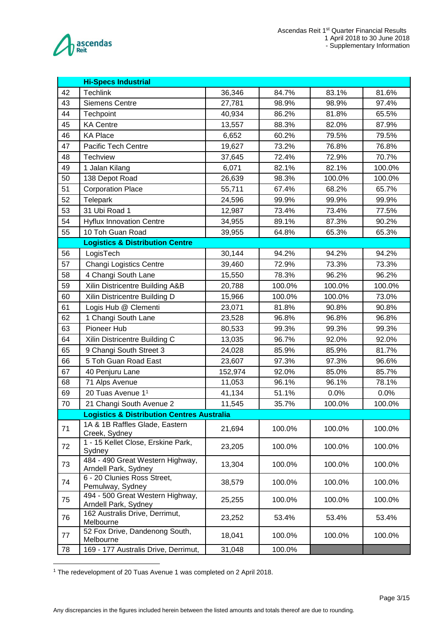

|    | <b>Hi-Specs Industrial</b>                               |         |        |        |        |  |  |
|----|----------------------------------------------------------|---------|--------|--------|--------|--|--|
| 42 | <b>Techlink</b>                                          | 36,346  | 84.7%  | 83.1%  | 81.6%  |  |  |
| 43 | <b>Siemens Centre</b>                                    | 27,781  | 98.9%  | 98.9%  | 97.4%  |  |  |
| 44 | Techpoint                                                | 40,934  | 86.2%  | 81.8%  | 65.5%  |  |  |
| 45 | <b>KA Centre</b>                                         | 13,557  | 88.3%  | 82.0%  | 87.9%  |  |  |
| 46 | <b>KA Place</b>                                          | 6,652   | 60.2%  | 79.5%  | 79.5%  |  |  |
| 47 | Pacific Tech Centre                                      | 19,627  | 73.2%  | 76.8%  | 76.8%  |  |  |
| 48 | <b>Techview</b>                                          | 37,645  | 72.4%  | 72.9%  | 70.7%  |  |  |
| 49 | 1 Jalan Kilang                                           | 6,071   | 82.1%  | 82.1%  | 100.0% |  |  |
| 50 | 138 Depot Road                                           | 26,639  | 98.3%  | 100.0% | 100.0% |  |  |
| 51 | <b>Corporation Place</b>                                 | 55,711  | 67.4%  | 68.2%  | 65.7%  |  |  |
| 52 | Telepark                                                 | 24,596  | 99.9%  | 99.9%  | 99.9%  |  |  |
| 53 | 31 Ubi Road 1                                            | 12,987  | 73.4%  | 73.4%  | 77.5%  |  |  |
| 54 | <b>Hyflux Innovation Centre</b>                          | 34,955  | 89.1%  | 87.3%  | 90.2%  |  |  |
| 55 | 10 Toh Guan Road                                         | 39,955  | 64.8%  | 65.3%  | 65.3%  |  |  |
|    | <b>Logistics &amp; Distribution Centre</b>               |         |        |        |        |  |  |
| 56 | LogisTech                                                | 30,144  | 94.2%  | 94.2%  | 94.2%  |  |  |
| 57 | Changi Logistics Centre                                  | 39,460  | 72.9%  | 73.3%  | 73.3%  |  |  |
| 58 | 4 Changi South Lane                                      | 15,550  | 78.3%  | 96.2%  | 96.2%  |  |  |
| 59 | Xilin Districentre Building A&B                          | 20,788  | 100.0% | 100.0% | 100.0% |  |  |
| 60 | Xilin Districentre Building D                            | 15,966  | 100.0% | 100.0% | 73.0%  |  |  |
| 61 | Logis Hub @ Clementi                                     | 23,071  | 81.8%  | 90.8%  | 90.8%  |  |  |
| 62 | 1 Changi South Lane                                      | 23,528  | 96.8%  | 96.8%  | 96.8%  |  |  |
| 63 | Pioneer Hub                                              | 80,533  | 99.3%  | 99.3%  | 99.3%  |  |  |
| 64 | Xilin Districentre Building C                            | 13,035  | 96.7%  | 92.0%  | 92.0%  |  |  |
| 65 | 9 Changi South Street 3                                  | 24,028  | 85.9%  | 85.9%  | 81.7%  |  |  |
| 66 | 5 Toh Guan Road East                                     | 23,607  | 97.3%  | 97.3%  | 96.6%  |  |  |
| 67 | 40 Penjuru Lane                                          | 152,974 | 92.0%  | 85.0%  | 85.7%  |  |  |
| 68 | 71 Alps Avenue                                           | 11,053  | 96.1%  | 96.1%  | 78.1%  |  |  |
| 69 | 20 Tuas Avenue 1 <sup>1</sup>                            | 41,134  | 51.1%  | 0.0%   | 0.0%   |  |  |
| 70 | 21 Changi South Avenue 2                                 | 11,545  | 35.7%  | 100.0% | 100.0% |  |  |
|    | <b>Logistics &amp; Distribution Centres Australia</b>    |         |        |        |        |  |  |
| 71 | 1A & 1B Raffles Glade, Eastern<br>Creek, Sydney          | 21,694  | 100.0% | 100.0% | 100.0% |  |  |
| 72 | 1 - 15 Kellet Close, Erskine Park,<br>Sydney             | 23,205  | 100.0% | 100.0% | 100.0% |  |  |
| 73 | 484 - 490 Great Western Highway,<br>Arndell Park, Sydney | 13,304  | 100.0% | 100.0% | 100.0% |  |  |
| 74 | 6 - 20 Clunies Ross Street,<br>Pemulway, Sydney          | 38,579  | 100.0% | 100.0% | 100.0% |  |  |
| 75 | 494 - 500 Great Western Highway,<br>Arndell Park, Sydney | 25,255  | 100.0% | 100.0% | 100.0% |  |  |
| 76 | 162 Australis Drive, Derrimut,<br>Melbourne              | 23,252  | 53.4%  | 53.4%  | 53.4%  |  |  |
| 77 | 52 Fox Drive, Dandenong South,<br>Melbourne              | 18,041  | 100.0% | 100.0% | 100.0% |  |  |
| 78 | 169 - 177 Australis Drive, Derrimut,                     | 31,048  | 100.0% |        |        |  |  |

The redevelopment of 20 Tuas Avenue 1 was completed on 2 April 2018.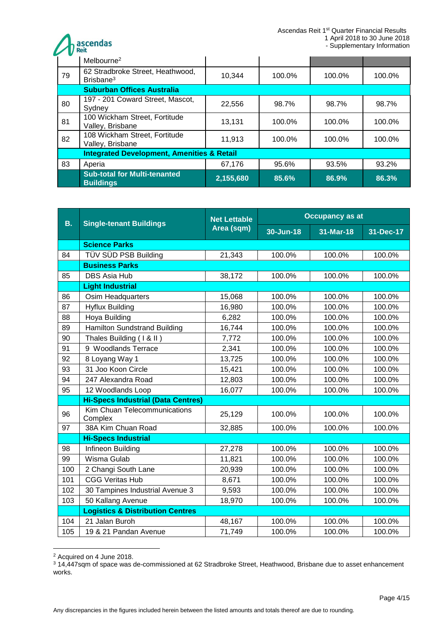**A** ascendas

|    | Melbourne <sup>2</sup>                                    |           |        |        |        |  |  |
|----|-----------------------------------------------------------|-----------|--------|--------|--------|--|--|
| 79 | 62 Stradbroke Street, Heathwood,<br>Brisbane <sup>3</sup> | 10,344    | 100.0% | 100.0% | 100.0% |  |  |
|    | <b>Suburban Offices Australia</b>                         |           |        |        |        |  |  |
| 80 | 197 - 201 Coward Street, Mascot,<br>Sydney                | 22,556    | 98.7%  | 98.7%  | 98.7%  |  |  |
| 81 | 100 Wickham Street, Fortitude<br>Valley, Brisbane         | 13.131    | 100.0% | 100.0% | 100.0% |  |  |
| 82 | 108 Wickham Street, Fortitude<br>Valley, Brisbane         | 11,913    | 100.0% | 100.0% | 100.0% |  |  |
|    | <b>Integrated Development, Amenities &amp; Retail</b>     |           |        |        |        |  |  |
| 83 | Aperia                                                    | 67,176    | 95.6%  | 93.5%  | 93.2%  |  |  |
|    | <b>Sub-total for Multi-tenanted</b><br><b>Buildings</b>   | 2,155,680 | 85.6%  | 86.9%  | 86.3%  |  |  |

| <b>B.</b> | <b>Single-tenant Buildings</b>              | <b>Net Lettable</b> | <b>Occupancy as at</b> |           |           |  |  |
|-----------|---------------------------------------------|---------------------|------------------------|-----------|-----------|--|--|
|           |                                             | Area (sqm)          | 30-Jun-18              | 31-Mar-18 | 31-Dec-17 |  |  |
|           | <b>Science Parks</b>                        |                     |                        |           |           |  |  |
| 84        | TÜV SÜD PSB Building                        | 21,343              | 100.0%                 | 100.0%    | 100.0%    |  |  |
|           | <b>Business Parks</b>                       |                     |                        |           |           |  |  |
| 85        | <b>DBS Asia Hub</b>                         | 38,172              | 100.0%                 | 100.0%    | 100.0%    |  |  |
|           | <b>Light Industrial</b>                     |                     |                        |           |           |  |  |
| 86        | Osim Headquarters                           | 15,068              | 100.0%                 | 100.0%    | 100.0%    |  |  |
| 87        | <b>Hyflux Building</b>                      | 16,980              | 100.0%                 | 100.0%    | 100.0%    |  |  |
| 88        | Hoya Building                               | 6,282               | 100.0%                 | 100.0%    | 100.0%    |  |  |
| 89        | <b>Hamilton Sundstrand Building</b>         | 16,744              | 100.0%                 | 100.0%    | 100.0%    |  |  |
| 90        | Thales Building (1 & II)                    | 7,772               | 100.0%                 | 100.0%    | 100.0%    |  |  |
| 91        | 9 Woodlands Terrace                         | 2,341               | 100.0%                 | 100.0%    | 100.0%    |  |  |
| 92        | 8 Loyang Way 1                              | 13,725              | 100.0%                 | 100.0%    | 100.0%    |  |  |
| 93        | 31 Joo Koon Circle                          | 15,421              | 100.0%                 | 100.0%    | 100.0%    |  |  |
| 94        | 247 Alexandra Road                          | 12,803              | 100.0%                 | 100.0%    | 100.0%    |  |  |
| 95        | 12 Woodlands Loop                           | 16,077              | 100.0%                 | 100.0%    | 100.0%    |  |  |
|           | <b>Hi-Specs Industrial (Data Centres)</b>   |                     |                        |           |           |  |  |
| 96        | Kim Chuan Telecommunications<br>Complex     | 25,129              | 100.0%                 | 100.0%    | 100.0%    |  |  |
| 97        | 38A Kim Chuan Road                          | 32,885              | 100.0%                 | 100.0%    | 100.0%    |  |  |
|           | <b>Hi-Specs Industrial</b>                  |                     |                        |           |           |  |  |
| 98        | Infineon Building                           | 27,278              | 100.0%                 | 100.0%    | 100.0%    |  |  |
| 99        | Wisma Gulab                                 | 11,821              | 100.0%                 | 100.0%    | 100.0%    |  |  |
| 100       | 2 Changi South Lane                         | 20,939              | 100.0%                 | 100.0%    | 100.0%    |  |  |
| 101       | <b>CGG Veritas Hub</b>                      | 8,671               | 100.0%                 | 100.0%    | 100.0%    |  |  |
| 102       | 30 Tampines Industrial Avenue 3             | 9,593               | 100.0%                 | 100.0%    | 100.0%    |  |  |
| 103       | 50 Kallang Avenue                           | 18,970              | 100.0%                 | 100.0%    | 100.0%    |  |  |
|           | <b>Logistics &amp; Distribution Centres</b> |                     |                        |           |           |  |  |
| 104       | 21 Jalan Buroh                              | 48,167              | 100.0%                 | 100.0%    | 100.0%    |  |  |
| 105       | 19 & 21 Pandan Avenue                       | 71,749              | 100.0%                 | 100.0%    | 100.0%    |  |  |

<sup>2</sup> Acquired on 4 June 2018.

1

<sup>3</sup> 14,447sqm of space was de-commissioned at 62 Stradbroke Street, Heathwood, Brisbane due to asset enhancement works.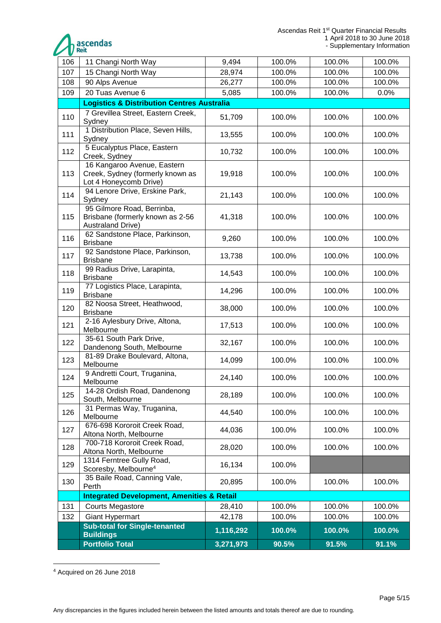

| 106 | 11 Changi North Way                                                                        | 9,494     | 100.0% | 100.0% | 100.0% |  |  |
|-----|--------------------------------------------------------------------------------------------|-----------|--------|--------|--------|--|--|
| 107 | 15 Changi North Way                                                                        | 28,974    | 100.0% | 100.0% | 100.0% |  |  |
| 108 | 90 Alps Avenue                                                                             | 26,277    | 100.0% | 100.0% | 100.0% |  |  |
| 109 | 20 Tuas Avenue 6                                                                           | 5,085     | 100.0% | 100.0% | 0.0%   |  |  |
|     | <b>Logistics &amp; Distribution Centres Australia</b>                                      |           |        |        |        |  |  |
| 110 | 7 Grevillea Street, Eastern Creek,<br>Sydney                                               | 51,709    | 100.0% | 100.0% | 100.0% |  |  |
| 111 | 1 Distribution Place, Seven Hills,<br>Sydney                                               | 13,555    | 100.0% | 100.0% | 100.0% |  |  |
| 112 | 5 Eucalyptus Place, Eastern<br>Creek, Sydney                                               | 10,732    | 100.0% | 100.0% | 100.0% |  |  |
| 113 | 16 Kangaroo Avenue, Eastern<br>Creek, Sydney (formerly known as<br>Lot 4 Honeycomb Drive)  | 19,918    | 100.0% | 100.0% | 100.0% |  |  |
| 114 | 94 Lenore Drive, Erskine Park,<br>Sydney                                                   | 21,143    | 100.0% | 100.0% | 100.0% |  |  |
| 115 | 95 Gilmore Road, Berrinba,<br>Brisbane (formerly known as 2-56<br><b>Australand Drive)</b> | 41,318    | 100.0% | 100.0% | 100.0% |  |  |
| 116 | 62 Sandstone Place, Parkinson,<br><b>Brisbane</b>                                          | 9,260     | 100.0% | 100.0% | 100.0% |  |  |
| 117 | 92 Sandstone Place, Parkinson,<br><b>Brisbane</b>                                          | 13,738    | 100.0% | 100.0% | 100.0% |  |  |
| 118 | 99 Radius Drive, Larapinta,<br><b>Brisbane</b>                                             | 14,543    | 100.0% | 100.0% | 100.0% |  |  |
| 119 | 77 Logistics Place, Larapinta,<br><b>Brisbane</b>                                          | 14,296    | 100.0% | 100.0% | 100.0% |  |  |
| 120 | 82 Noosa Street, Heathwood,<br><b>Brisbane</b>                                             | 38,000    | 100.0% | 100.0% | 100.0% |  |  |
| 121 | 2-16 Aylesbury Drive, Altona,<br>Melbourne                                                 | 17,513    | 100.0% | 100.0% | 100.0% |  |  |
| 122 | 35-61 South Park Drive,<br>Dandenong South, Melbourne                                      | 32,167    | 100.0% | 100.0% | 100.0% |  |  |
| 123 | 81-89 Drake Boulevard, Altona,<br>Melbourne                                                | 14,099    | 100.0% | 100.0% | 100.0% |  |  |
| 124 | 9 Andretti Court, Truganina,<br>Melbourne                                                  | 24,140    | 100.0% | 100.0% | 100.0% |  |  |
| 125 | 14-28 Ordish Road, Dandenong<br>South, Melbourne                                           | 28,189    | 100.0% | 100.0% | 100.0% |  |  |
| 126 | 31 Permas Way, Truganina,<br>Melbourne                                                     | 44,540    | 100.0% | 100.0% | 100.0% |  |  |
| 127 | 676-698 Kororoit Creek Road,<br>Altona North, Melbourne                                    | 44,036    | 100.0% | 100.0% | 100.0% |  |  |
| 128 | 700-718 Kororoit Creek Road,<br>Altona North, Melbourne                                    | 28,020    | 100.0% | 100.0% | 100.0% |  |  |
| 129 | 1314 Ferntree Gully Road,<br>Scoresby, Melbourne <sup>4</sup>                              | 16,134    | 100.0% |        |        |  |  |
| 130 | 35 Baile Road, Canning Vale,<br>Perth                                                      | 20,895    | 100.0% | 100.0% | 100.0% |  |  |
|     | <b>Integrated Development, Amenities &amp; Retail</b>                                      |           |        |        |        |  |  |
| 131 | <b>Courts Megastore</b>                                                                    | 28,410    | 100.0% | 100.0% | 100.0% |  |  |
| 132 | <b>Giant Hypermart</b>                                                                     | 42,178    | 100.0% | 100.0% | 100.0% |  |  |
|     | <b>Sub-total for Single-tenanted</b><br><b>Buildings</b>                                   | 1,116,292 | 100.0% | 100.0% | 100.0% |  |  |
|     | <b>Portfolio Total</b>                                                                     | 3,271,973 | 90.5%  | 91.5%  | 91.1%  |  |  |

<sup>1</sup> <sup>4</sup> Acquired on 26 June 2018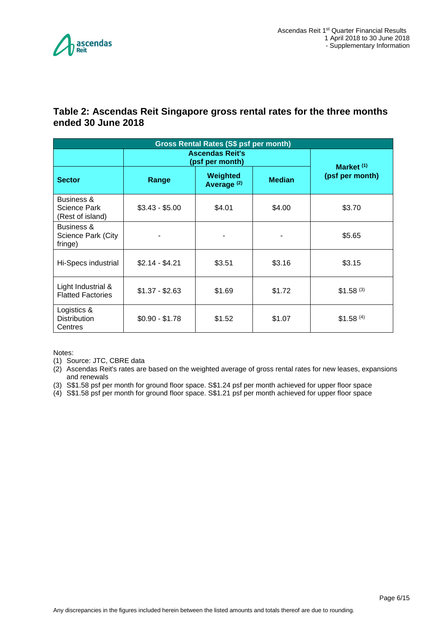

### <span id="page-5-0"></span>**Table 2: Ascendas Reit Singapore gross rental rates for the three months ended 30 June 2018**

| Gross Rental Rates (S\$ psf per month)                |                                           |                                    |               |                       |  |  |
|-------------------------------------------------------|-------------------------------------------|------------------------------------|---------------|-----------------------|--|--|
|                                                       | <b>Ascendas Reit's</b><br>(psf per month) | Market $(1)$                       |               |                       |  |  |
| <b>Sector</b>                                         | Range                                     | Weighted<br>Average <sup>(2)</sup> | <b>Median</b> | (psf per month)       |  |  |
| Business &<br><b>Science Park</b><br>(Rest of island) | $$3.43 - $5.00$                           | \$4.01                             | \$4.00        | \$3.70                |  |  |
| Business &<br>Science Park (City<br>fringe)           |                                           |                                    |               | \$5.65                |  |  |
| $$2.14 - $4.21$<br>\$3.51<br>Hi-Specs industrial      |                                           | \$3.16                             | \$3.15        |                       |  |  |
| Light Industrial &<br><b>Flatted Factories</b>        | $$1.37 - $2.63$                           | \$1.69                             | \$1.72        | \$1.58 <sup>(3)</sup> |  |  |
| Logistics &<br><b>Distribution</b><br>Centres         | $$0.90 - $1.78$                           | \$1.52                             | \$1.07        | \$1.58 <sup>(4)</sup> |  |  |

Notes:

(1) Source: JTC, CBRE data

(2) Ascendas Reit's rates are based on the weighted average of gross rental rates for new leases, expansions and renewals

- (3) S\$1.58 psf per month for ground floor space. S\$1.24 psf per month achieved for upper floor space
- (4) S\$1.58 psf per month for ground floor space. S\$1.21 psf per month achieved for upper floor space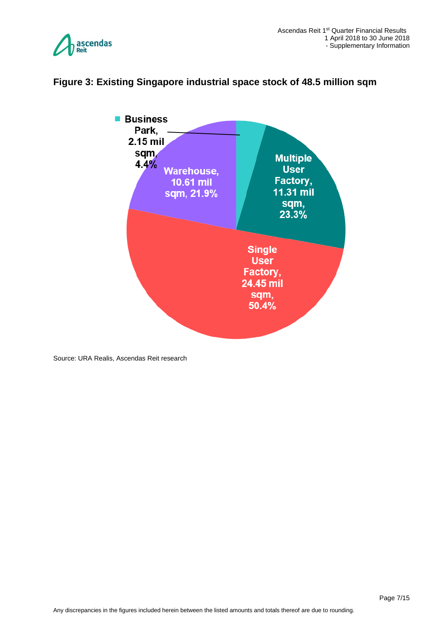



#### <span id="page-6-0"></span>**Figure 3: Existing Singapore industrial space stock of 48.5 million sqm**

Source: URA Realis, Ascendas Reit research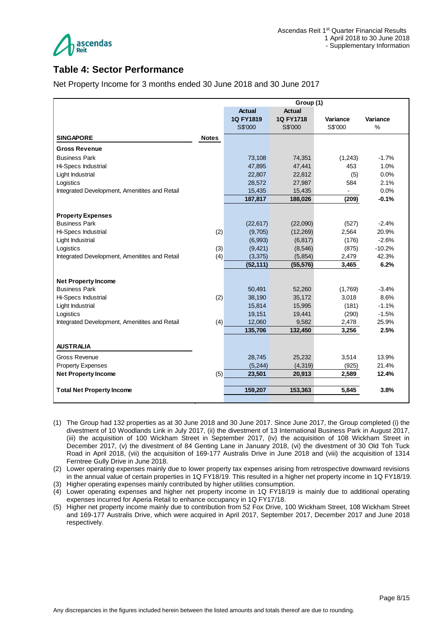

## <span id="page-7-0"></span>**Table 4: Sector Performance**

Net Property Income for 3 months ended 30 June 2018 and 30 June 2017

|                                                  |              | Group (1)         |                    |                          |                |
|--------------------------------------------------|--------------|-------------------|--------------------|--------------------------|----------------|
|                                                  |              | <b>Actual</b>     | <b>Actual</b>      |                          |                |
|                                                  |              | 1Q FY1819         | 1Q FY1718          | Variance                 | Variance       |
|                                                  |              | S\$'000           | S\$'000            | S\$'000                  | %              |
| <b>SINGAPORE</b>                                 | <b>Notes</b> |                   |                    |                          |                |
| <b>Gross Revenue</b>                             |              |                   |                    |                          |                |
| <b>Business Park</b>                             |              | 73,108            | 74,351             | (1,243)                  | $-1.7%$        |
| Hi-Specs Industrial                              |              | 47,895            | 47,441             | 453                      | 1.0%           |
| Light Industrial                                 |              | 22,807            | 22,812             | (5)                      | 0.0%           |
| Logistics                                        |              | 28,572            | 27,987             | 584                      | 2.1%           |
| Integrated Development, Amenitites and Retail    |              | 15,435            | 15,435             | $\overline{\phantom{0}}$ | 0.0%           |
|                                                  |              | 187,817           | 188,026            | (209)                    | $-0.1%$        |
|                                                  |              |                   |                    |                          |                |
| <b>Property Expenses</b>                         |              |                   |                    |                          |                |
| <b>Business Park</b>                             |              | (22, 617)         | (22,090)           | (527)                    | $-2.4%$        |
| Hi-Specs Industrial                              | (2)          | (9,705)           | (12, 269)          | 2,564                    | 20.9%          |
| Light Industrial                                 |              | (6,993)           | (6, 817)           | (176)                    | $-2.6%$        |
| Logistics                                        | (3)          | (9, 421)          | (8, 546)           | (875)                    | $-10.2%$       |
| Integrated Development, Amenitites and Retail    | (4)          | (3, 375)          | (5,854)            | 2,479                    | 42.3%<br>6.2%  |
|                                                  |              | (52, 111)         | (55, 576)          | 3,465                    |                |
| <b>Net Property Income</b>                       |              |                   |                    |                          |                |
| <b>Business Park</b>                             |              | 50,491            | 52,260             | (1,769)                  | $-3.4%$        |
| Hi-Specs Industrial                              | (2)          | 38,190            | 35,172             | 3,018                    | 8.6%           |
| Light Industrial                                 |              | 15,814            | 15,995             | (181)                    | $-1.1%$        |
| Logistics                                        |              | 19,151            | 19,441             | (290)                    | $-1.5%$        |
| Integrated Development, Amenitites and Retail    | (4)          | 12,060            | 9,582              | 2,478                    | 25.9%          |
|                                                  |              | 135,706           | 132,450            | 3,256                    | 2.5%           |
| <b>AUSTRALIA</b>                                 |              |                   |                    |                          |                |
|                                                  |              |                   |                    |                          |                |
| <b>Gross Revenue</b><br><b>Property Expenses</b> |              | 28,745<br>(5,244) | 25,232<br>(4, 319) | 3,514<br>(925)           | 13.9%<br>21.4% |
|                                                  |              |                   |                    |                          | 12.4%          |
| <b>Net Property Income</b>                       | (5)          | 23,501            | 20,913             | 2,589                    |                |
| <b>Total Net Property Income</b>                 |              | 159,207           | 153,363            | 5,845                    | 3.8%           |
|                                                  |              |                   |                    |                          |                |

- (1) The Group had 132 properties as at 30 June 2018 and 30 June 2017. Since June 2017, the Group completed (i) the divestment of 10 Woodlands Link in July 2017, (ii) the divestment of 13 International Business Park in August 2017, (iii) the acquisition of 100 Wickham Street in September 2017, (iv) the acquisition of 108 Wickham Street in December 2017, (v) the divestment of 84 Genting Lane in January 2018, (vi) the divestment of 30 Old Toh Tuck Road in April 2018, (vii) the acquisition of 169-177 Australis Drive in June 2018 and (viii) the acquisition of 1314 Ferntree Gully Drive in June 2018.
- (2) Lower operating expenses mainly due to lower property tax expenses arising from retrospective downward revisions in the annual value of certain properties in 1Q FY18/19. This resulted in a higher net property income in 1Q FY18/19.

(3) Higher operating expenses mainly contributed by higher utilities consumption.

- (4) Lower operating expenses and higher net property income in 1Q FY18/19 is mainly due to additional operating expenses incurred for Aperia Retail to enhance occupancy in 1Q FY17/18.
- (5) Higher net property income mainly due to contribution from 52 Fox Drive, 100 Wickham Street, 108 Wickham Street and 169-177 Australis Drive, which were acquired in April 2017, September 2017, December 2017 and June 2018 respectively.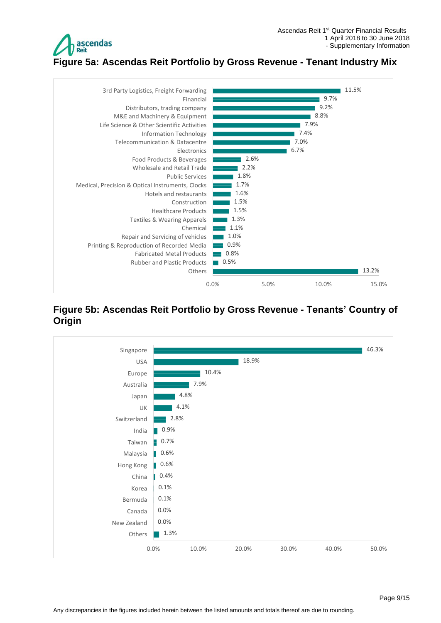

<span id="page-8-0"></span>**Figure 5a: Ascendas Reit Portfolio by Gross Revenue - Tenant Industry Mix**



#### <span id="page-8-1"></span>**Figure 5b: Ascendas Reit Portfolio by Gross Revenue - Tenants' Country of Origin**

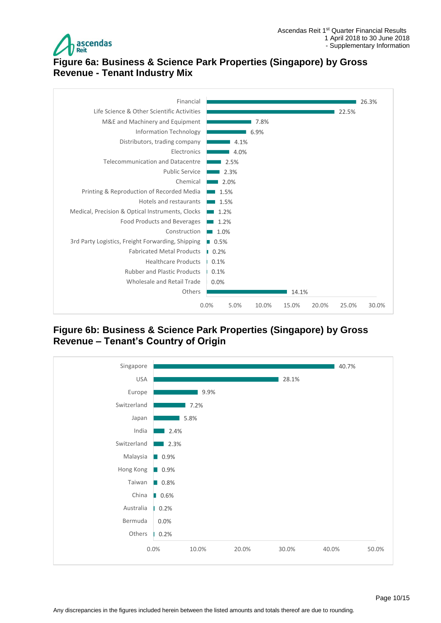

## <span id="page-9-0"></span>**Figure 6a: Business & Science Park Properties (Singapore) by Gross Revenue - Tenant Industry Mix**



<span id="page-9-1"></span>**Figure 6b: Business & Science Park Properties (Singapore) by Gross Revenue – Tenant's Country of Origin**

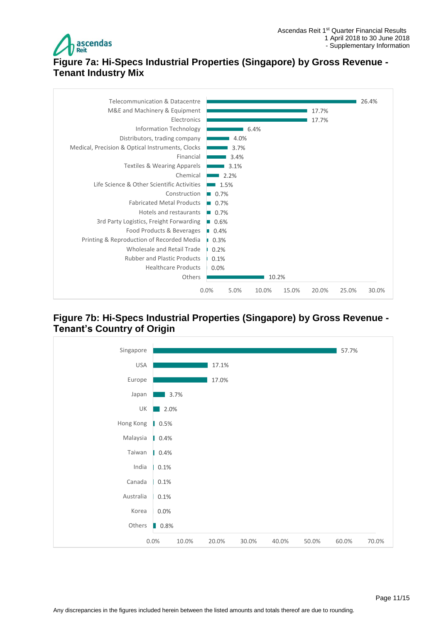

## <span id="page-10-0"></span>**Figure 7a: Hi-Specs Industrial Properties (Singapore) by Gross Revenue - Tenant Industry Mix**



### <span id="page-10-1"></span>**Figure 7b: Hi-Specs Industrial Properties (Singapore) by Gross Revenue - Tenant's Country of Origin**

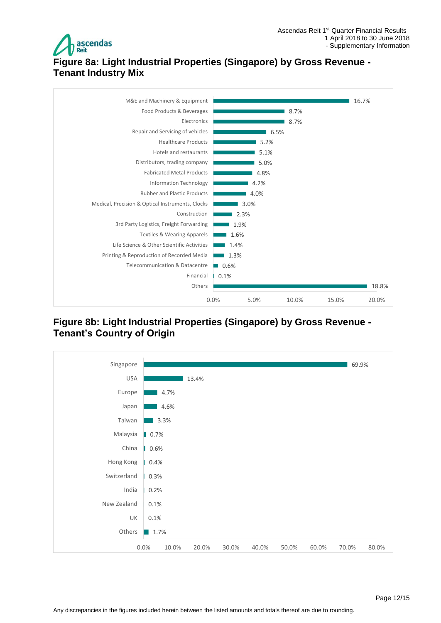

# <span id="page-11-0"></span>**Figure 8a: Light Industrial Properties (Singapore) by Gross Revenue - Tenant Industry Mix**



## <span id="page-11-1"></span>**Figure 8b: Light Industrial Properties (Singapore) by Gross Revenue - Tenant's Country of Origin**

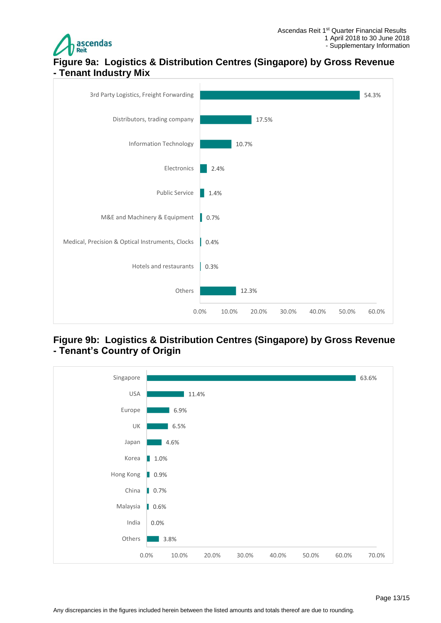

## <span id="page-12-0"></span>**Figure 9a: Logistics & Distribution Centres (Singapore) by Gross Revenue - Tenant Industry Mix**



## <span id="page-12-1"></span>**Figure 9b: Logistics & Distribution Centres (Singapore) by Gross Revenue - Tenant's Country of Origin**

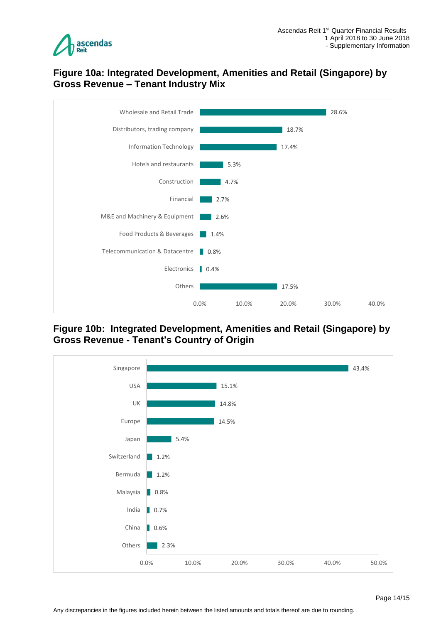

## <span id="page-13-0"></span>**Figure 10a: Integrated Development, Amenities and Retail (Singapore) by Gross Revenue – Tenant Industry Mix**



<span id="page-13-1"></span>**Figure 10b: Integrated Development, Amenities and Retail (Singapore) by Gross Revenue - Tenant's Country of Origin**